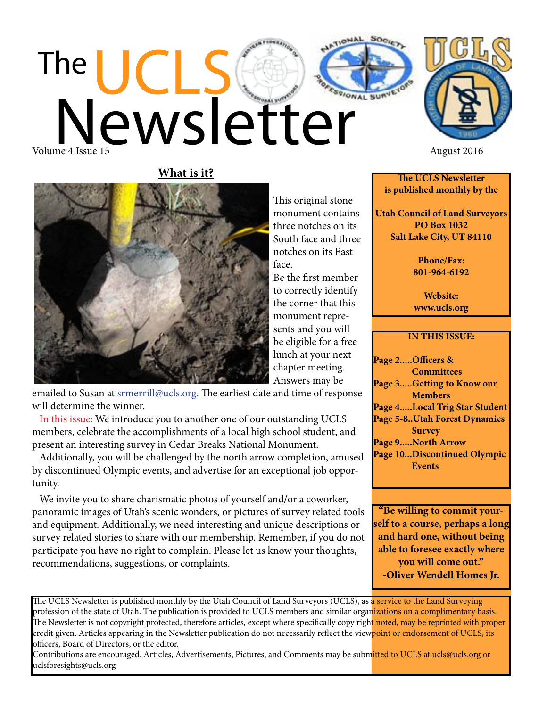**The UCLS Newsletter is published monthly by the**

**Utah Council of Land Surveyors PO Box 1032 Salt Lake City, UT 84110**

> **Phone/Fax: 801-964-6192**

**Website: www.ucls.org**

## **IN THIS ISSUE:**

**Page 2.....Officers & Committees Page 3.....Getting to Know our Members Page 4.....Local Trig Star Student Page 5-8..Utah Forest Dynamics Survey Page 9.....North Arrow Page 10...Discontinued Olympic Events**

**"Be willing to commit yourself to a course, perhaps a long and hard one, without being able to foresee exactly where you will come out." -Oliver Wendell Homes Jr.**

The UCLS Newsletter is published monthly by the Utah Council of Land Surveyors (UCLS), as a service to the Land Surveying profession of the state of Utah. The publication is provided to UCLS members and similar organizations on a complimentary basis. The Newsletter is not copyright protected, therefore articles, except where specifically copy right noted, may be reprinted with proper credit given. Articles appearing in the Newsletter publication do not necessarily reflect the viewpoint or endorsement of UCLS, its officers, Board of Directors, or the editor.

Contributions are encouraged. Articles, Advertisements, Pictures, and Comments may be submitted to UCLS at ucls@ucls.org or uclsforesights@ucls.org

**What is it?**



This original stone monument contains three notches on its South face and three notches on its East face.

 Be the first member to correctly identify the corner that this monument represents and you will be eligible for a free lunch at your next chapter meeting. Answers may be

emailed to Susan at srmerrill@ucls.org. The earliest date and time of response will determine the winner.

 In this issue: We introduce you to another one of our outstanding UCLS members, celebrate the accomplishments of a local high school student, and present an interesting survey in Cedar Breaks National Monument.

 Additionally, you will be challenged by the north arrow completion, amused by discontinued Olympic events, and advertise for an exceptional job opportunity.

 We invite you to share charismatic photos of yourself and/or a coworker, panoramic images of Utah's scenic wonders, or pictures of survey related tools and equipment. Additionally, we need interesting and unique descriptions or survey related stories to share with our membership. Remember, if you do not participate you have no right to complain. Please let us know your thoughts, recommendations, suggestions, or complaints.

The UCLS Newsletter Volume 4 Issue 15 August 2016

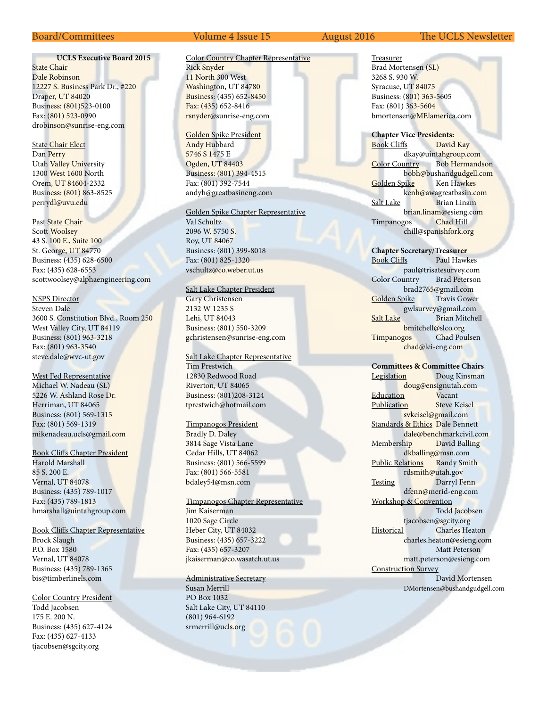## **UCLS Executive Board 2015**

**State Chair** Dale Robinson 12227 S. Business Park Dr., #220 Draper, UT 84020 Business: (801)523-0100 Fax: (801) 523-0990 drobinson@sunrise-eng.com

State Chair Elect Dan Perry Utah Valley University 1300 West 1600 North Orem, UT 84604-2332 Business: (801) 863-8525 perrydl@uvu.edu

Past State Chair Scott Woolsey 43 S. 100 E., Suite 100 St. George, UT 84770 Business: (435) 628-6500 Fax: (435) 628-6553 scottwoolsey@alphaengineering.com

#### NSPS Director

Steven Dale 3600 S. Constitution Blvd., Room 250 West Valley City, UT 84119 Business: (801) 963-3218 Fax: (801) 963-3540 steve.dale@wvc-ut.gov

West Fed Representative Michael W. Nadeau (SL) 5226 W. Ashland Rose Dr. Herriman, UT 84065 Business: (801) 569-1315 Fax: (801) 569-1319 mikenadeau.ucls@gmail.com

Book Cliffs Chapter President

Harold Marshall 85 S. 200 E. Vernal, UT 84078 Business: (435) 789-1017 Fax: (435) 789-1813 hmarshall@uintahgroup.com

Book Cliffs Chapter Representative Brock Slaugh P.O. Box 1580 Vernal, UT 84078 Business: (435) 789-1365 bis@timberlinels.com

Color Country President Todd Jacobsen

175 E. 200 N. Business: (435) 627-4124 Fax: (435) 627-4133 tjacobsen@sgcity.org

### Color Country Chapter Representative Rick Snyder 11 North 300 West Washington, UT 84780 Business: (435) 652-8450 Fax: (435) 652-8416 rsnyder@sunrise-eng.com

Golden Spike President Andy Hubbard 5746 S 1475 E Ogden, UT 84403 Business: (801) 394-4515 Fax: (801) 392-7544 andyh@greatbasineng.com

#### Golden Spike Chapter Representative

Val Schultz 2096 W. 5750 S. Roy, UT 84067 Business: (801) 399-8018 Fax: (801) 825-1320 vschultz@co.weber.ut.us

#### Salt Lake Chapter President

Gary Christensen 2132 W 1235 S Lehi, UT 84043 Business: (801) 550-3209 gchristensen@sunrise-eng.com

Salt Lake Chapter Representative Tim Prestwich 12830 Redwood Road Riverton, UT 84065 Business: (801)208-3124 tprestwich@hotmail.com

#### Timpanogos President

Bradly D. Daley 3814 Sage Vista Lane Cedar Hills, UT 84062 Business: (801) 566-5599 Fax: (801) 566-5581 bdaley54@msn.com

## Timpanogos Chapter Representative

Jim Kaiserman 1020 Sage Circle Heber City, UT 84032 Business: (435) 657-3222 Fax: (435) 657-3207 jkaiserman@co.wasatch.ut.us

### Administrative Secretary

Susan Merrill PO Box 1032 Salt Lake City, UT 84110 (801) 964-6192 srmerrill@ucls.org

#### Board/Committees Volume 4 Issue 15 August 2016 The UCLS Newsletter

Treasurer Brad Mortensen (SL) 3268 S. 930 W. Syracuse, UT 84075 Business: (801) 363-5605 Fax: (801) 363-5604 bmortensen@MElamerica.com

#### **Chapter Vice Presidents:**

Book Cliffs David Kay dkay@uintahgroup.com Color Country Bob Hermandson bobh@bushandgudgell.com Golden Spike Ken Hawkes kenh@awagreatbasin.com Salt Lake Brian Linam brian.linam@esieng.com Timpanogos Chad Hill chill@spanishfork.org

#### **Chapter Secretary/Treasurer** Paul Hawkes paul@trisatesurvey.com Color Country Brad Peterson brad2765@gmail.com<br>
bike Travis Gower Golden Spike gwlsurvey@gmail.com Salt Lake Brian Mitchell bmitchell@slco.org Timpanogos Chad Poulsen

chad@lei-eng.com

## **Committees & Committee Chairs**

Legislation Doug Kinsman doug@ensignutah.com Education Vacant Publication Steve Keisel svkeisel@gmail.com Standards & Ethics Dale Bennett dale@benchmarkcivil.com Membership David Balling dkballing@msn.com Public Relations Randy Smith rdsmith@utah.gov Testing Darryl Fenn dfenn@merid-eng.com Workshop & Convention Todd Jacobsen tjacobsen@sgcity.org Historical Charles Heaton charles.heaton@esieng.com Matt Peterson matt.peterson@esieng.com Construction Survey David Mortensen DMortensen@bushandgudgell.com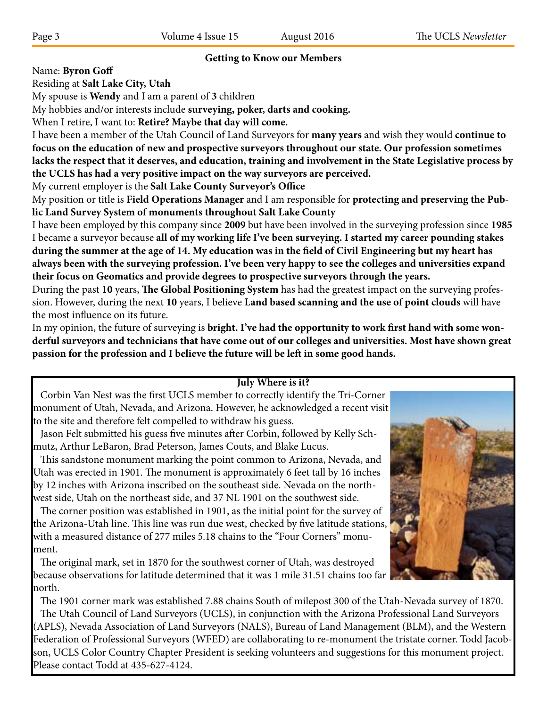# **Getting to Know our Members**

Name: **Byron Goff**

Residing at **Salt Lake City, Utah**

My spouse is **Wendy** and I am a parent of **3** children

My hobbies and/or interests include **surveying, poker, darts and cooking.**

When I retire, I want to: **Retire? Maybe that day will come.**

I have been a member of the Utah Council of Land Surveyors for **many years** and wish they would **continue to focus on the education of new and prospective surveyors throughout our state. Our profession sometimes lacks the respect that it deserves, and education, training and involvement in the State Legislative process by the UCLS has had a very positive impact on the way surveyors are perceived.**

My current employer is the **Salt Lake County Surveyor's Office**

My position or title is **Field Operations Manager** and I am responsible for **protecting and preserving the Public Land Survey System of monuments throughout Salt Lake County**

I have been employed by this company since **2009** but have been involved in the surveying profession since **1985** I became a surveyor because **all of my working life I've been surveying. I started my career pounding stakes during the summer at the age of 14. My education was in the field of Civil Engineering but my heart has always been with the surveying profession. I've been very happy to see the colleges and universities expand their focus on Geomatics and provide degrees to prospective surveyors through the years.**

During the past **10** years, **The Global Positioning System** has had the greatest impact on the surveying profession. However, during the next **10** years, I believe **Land based scanning and the use of point clouds** will have the most influence on its future.

In my opinion, the future of surveying is **bright. I've had the opportunity to work first hand with some wonderful surveyors and technicians that have come out of our colleges and universities. Most have shown great passion for the profession and I believe the future will be left in some good hands.**

# **July Where is it?**

 Corbin Van Nest was the first UCLS member to correctly identify the Tri-Corner monument of Utah, Nevada, and Arizona. However, he acknowledged a recent visit to the site and therefore felt compelled to withdraw his guess.

 Jason Felt submitted his guess five minutes after Corbin, followed by Kelly Schmutz, Arthur LeBaron, Brad Peterson, James Couts, and Blake Lucus.

 This sandstone monument marking the point common to Arizona, Nevada, and Utah was erected in 1901. The monument is approximately 6 feet tall by 16 inches by 12 inches with Arizona inscribed on the southeast side. Nevada on the northwest side, Utah on the northeast side, and 37 NL 1901 on the southwest side.

 The corner position was established in 1901, as the initial point for the survey of the Arizona-Utah line. This line was run due west, checked by five latitude stations, with a measured distance of 277 miles 5.18 chains to the "Four Corners" monument.

 The original mark, set in 1870 for the southwest corner of Utah, was destroyed because observations for latitude determined that it was 1 mile 31.51 chains too far north.



 The 1901 corner mark was established 7.88 chains South of milepost 300 of the Utah-Nevada survey of 1870. The Utah Council of Land Surveyors (UCLS), in conjunction with the Arizona Professional Land Surveyors (APLS), Nevada Association of Land Surveyors (NALS), Bureau of Land Management (BLM), and the Western Federation of Professional Surveyors (WFED) are collaborating to re-monument the tristate corner. Todd Jacobson, UCLS Color Country Chapter President is seeking volunteers and suggestions for this monument project. Please contact Todd at 435-627-4124.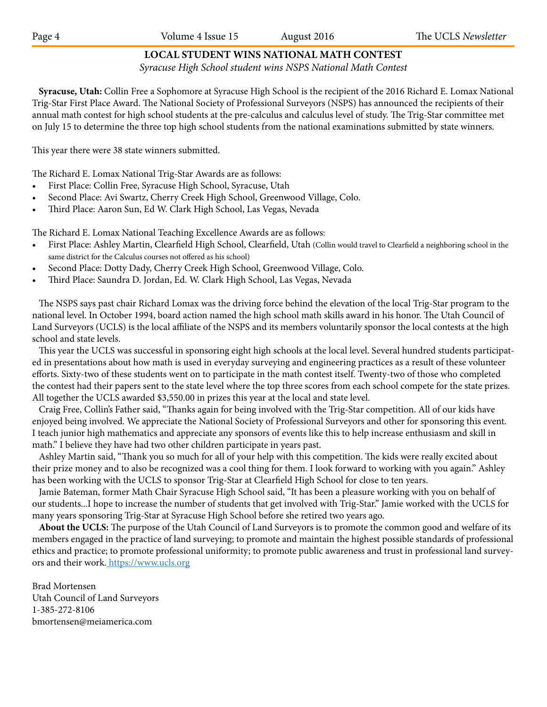# **LOCAL STUDENT WINS NATIONAL MATH CONTEST**

*Syracuse High School student wins NSPS National Math Contest*

 **Syracuse, Utah:** Collin Free a Sophomore at Syracuse High School is the recipient of the 2016 Richard E. Lomax National Trig-Star First Place Award. The National Society of Professional Surveyors (NSPS) has announced the recipients of their annual math contest for high school students at the pre-calculus and calculus level of study. The Trig-Star committee met on July 15 to determine the three top high school students from the national examinations submitted by state winners.

This year there were 38 state winners submitted.

The Richard E. Lomax National Trig-Star Awards are as follows:

- • First Place: Collin Free, Syracuse High School, Syracuse, Utah
- Second Place: Avi Swartz, Cherry Creek High School, Greenwood Village, Colo.
- Third Place: Aaron Sun, Ed W. Clark High School, Las Vegas, Nevada

The Richard E. Lomax National Teaching Excellence Awards are as follows:

- • First Place: Ashley Martin, Clearfield High School, Clearfield, Utah (Collin would travel to Clearfield a neighboring school in the same district for the Calculus courses not offered as his school)
- Second Place: Dotty Dady, Cherry Creek High School, Greenwood Village, Colo.
- Third Place: Saundra D. Jordan, Ed. W. Clark High School, Las Vegas, Nevada

 The NSPS says past chair Richard Lomax was the driving force behind the elevation of the local Trig-Star program to the national level. In October 1994, board action named the high school math skills award in his honor. The Utah Council of Land Surveyors (UCLS) is the local affiliate of the NSPS and its members voluntarily sponsor the local contests at the high school and state levels.

 This year the UCLS was successful in sponsoring eight high schools at the local level. Several hundred students participated in presentations about how math is used in everyday surveying and engineering practices as a result of these volunteer efforts. Sixty-two of these students went on to participate in the math contest itself. Twenty-two of those who completed the contest had their papers sent to the state level where the top three scores from each school compete for the state prizes. All together the UCLS awarded \$3,550.00 in prizes this year at the local and state level.

 Craig Free, Collin's Father said, "Thanks again for being involved with the Trig-Star competition. All of our kids have enjoyed being involved. We appreciate the National Society of Professional Surveyors and other for sponsoring this event. I teach junior high mathematics and appreciate any sponsors of events like this to help increase enthusiasm and skill in math." I believe they have had two other children participate in years past.

 Ashley Martin said, "Thank you so much for all of your help with this competition. The kids were really excited about their prize money and to also be recognized was a cool thing for them. I look forward to working with you again." Ashley has been working with the UCLS to sponsor Trig-Star at Clearfield High School for close to ten years.

 Jamie Bateman, former Math Chair Syracuse High School said, "It has been a pleasure working with you on behalf of our students...I hope to increase the number of students that get involved with Trig-Star." Jamie worked with the UCLS for many years sponsoring Trig-Star at Syracuse High School before she retired two years ago.

 **About the UCLS:** The purpose of the Utah Council of Land Surveyors is to promote the common good and welfare of its members engaged in the practice of land surveying; to promote and maintain the highest possible standards of professional ethics and practice; to promote professional uniformity; to promote public awareness and trust in professional land surveyors and their work. https://www.ucls.org

Brad Mortensen Utah Council of Land Surveyors 1-385-272-8106 bmortensen@meiamerica.com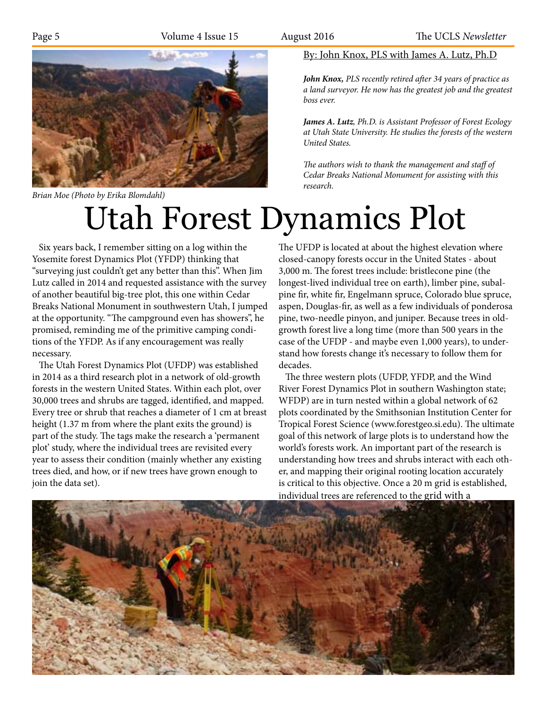

*Brian Moe (Photo by Erika Blomdahl)*

# Utah Forest Dynamics Plot

 Six years back, I remember sitting on a log within the Yosemite forest Dynamics Plot (YFDP) thinking that "surveying just couldn't get any better than this". When Jim Lutz called in 2014 and requested assistance with the survey of another beautiful big-tree plot, this one within Cedar Breaks National Monument in southwestern Utah, I jumped at the opportunity. "The campground even has showers", he promised, reminding me of the primitive camping conditions of the YFDP. As if any encouragement was really necessary.

 The Utah Forest Dynamics Plot (UFDP) was established in 2014 as a third research plot in a network of old-growth forests in the western United States. Within each plot, over 30,000 trees and shrubs are tagged, identified, and mapped. Every tree or shrub that reaches a diameter of 1 cm at breast height (1.37 m from where the plant exits the ground) is part of the study. The tags make the research a 'permanent plot' study, where the individual trees are revisited every year to assess their condition (mainly whether any existing trees died, and how, or if new trees have grown enough to join the data set).

# The UFDP is located at about the highest elevation where closed-canopy forests occur in the United States - about 3,000 m. The forest trees include: bristlecone pine (the longest-lived individual tree on earth), limber pine, subalpine fir, white fir, Engelmann spruce, Colorado blue spruce, aspen, Douglas-fir, as well as a few individuals of ponderosa pine, two-needle pinyon, and juniper. Because trees in oldgrowth forest live a long time (more than 500 years in the case of the UFDP - and maybe even 1,000 years), to understand how forests change it's necessary to follow them for decades.

 The three western plots (UFDP, YFDP, and the Wind River Forest Dynamics Plot in southern Washington state; WFDP) are in turn nested within a global network of 62 plots coordinated by the Smithsonian Institution Center for Tropical Forest Science (www.forestgeo.si.edu). The ultimate goal of this network of large plots is to understand how the world's forests work. An important part of the research is understanding how trees and shrubs interact with each other, and mapping their original rooting location accurately is critical to this objective. Once a 20 m grid is established, individual trees are referenced to the grid with a



By: John Knox, PLS with James A. Lutz, Ph.D

*John Knox, PLS recently retired after 34 years of practice as a land surveyor. He now has the greatest job and the greatest boss ever.*

*James A. Lutz, Ph.D. is Assistant Professor of Forest Ecology at Utah State University. He studies the forests of the western United States.*

*The authors wish to thank the management and staff of Cedar Breaks National Monument for assisting with this research.*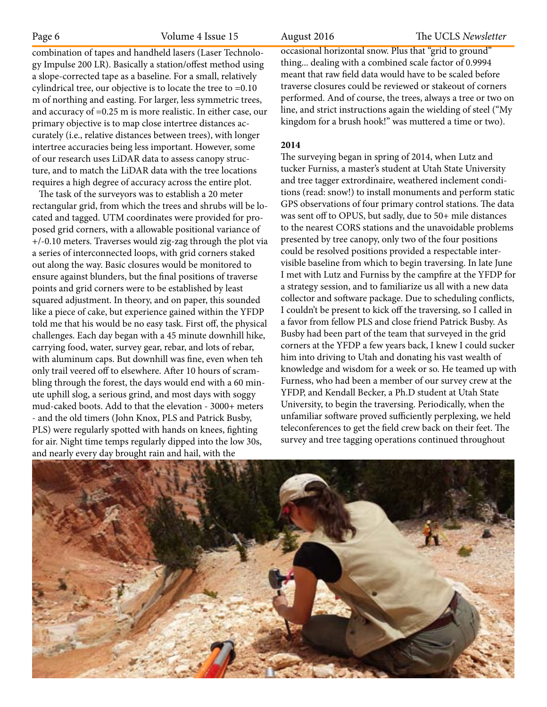combination of tapes and handheld lasers (Laser Technology Impulse 200 LR). Basically a station/offest method using a slope-corrected tape as a baseline. For a small, relatively cylindrical tree, our objective is to locate the tree to =0.10 m of northing and easting. For larger, less symmetric trees, and accuracy of =0.25 m is more realistic. In either case, our primary objective is to map close intertree distances accurately (i.e., relative distances between trees), with longer intertree accuracies being less important. However, some of our research uses LiDAR data to assess canopy structure, and to match the LiDAR data with the tree locations requires a high degree of accuracy across the entire plot.

 The task of the surveyors was to establish a 20 meter rectangular grid, from which the trees and shrubs will be located and tagged. UTM coordinates were provided for proposed grid corners, with a allowable positional variance of +/-0.10 meters. Traverses would zig-zag through the plot via a series of interconnected loops, with grid corners staked out along the way. Basic closures would be monitored to ensure against blunders, but the final positions of traverse points and grid corners were to be established by least squared adjustment. In theory, and on paper, this sounded like a piece of cake, but experience gained within the YFDP told me that his would be no easy task. First off, the physical challenges. Each day began with a 45 minute downhill hike, carrying food, water, survey gear, rebar, and lots of rebar, with aluminum caps. But downhill was fine, even when teh only trail veered off to elsewhere. After 10 hours of scrambling through the forest, the days would end with a 60 minute uphill slog, a serious grind, and most days with soggy mud-caked boots. Add to that the elevation - 3000+ meters - and the old timers (John Knox, PLS and Patrick Busby, PLS) were regularly spotted with hands on knees, fighting for air. Night time temps regularly dipped into the low 30s, and nearly every day brought rain and hail, with the

Page 6 Volume 4 Issue 15 August 2016 The UCLS *Newsletter*

occasional horizontal snow. Plus that "grid to ground" thing... dealing with a combined scale factor of 0.9994 meant that raw field data would have to be scaled before traverse closures could be reviewed or stakeout of corners performed. And of course, the trees, always a tree or two on line, and strict instructions again the wielding of steel ("My kingdom for a brush hook!" was muttered a time or two).

## **2014**

The surveying began in spring of 2014, when Lutz and tucker Furniss, a master's student at Utah State University and tree tagger extrordinaire, weathered inclement conditions (read: snow!) to install monuments and perform static GPS observations of four primary control stations. The data was sent off to OPUS, but sadly, due to 50+ mile distances to the nearest CORS stations and the unavoidable problems presented by tree canopy, only two of the four positions could be resolved positions provided a respectable intervisible baseline from which to begin traversing. In late June I met with Lutz and Furniss by the campfire at the YFDP for a strategy session, and to familiarize us all with a new data collector and software package. Due to scheduling conflicts, I couldn't be present to kick off the traversing, so I called in a favor from fellow PLS and close friend Patrick Busby. As Busby had been part of the team that surveyed in the grid corners at the YFDP a few years back, I knew I could sucker him into driving to Utah and donating his vast wealth of knowledge and wisdom for a week or so. He teamed up with Furness, who had been a member of our survey crew at the YFDP, and Kendall Becker, a Ph.D student at Utah State University, to begin the traversing. Periodically, when the unfamiliar software proved sufficiently perplexing, we held teleconferences to get the field crew back on their feet. The survey and tree tagging operations continued throughout

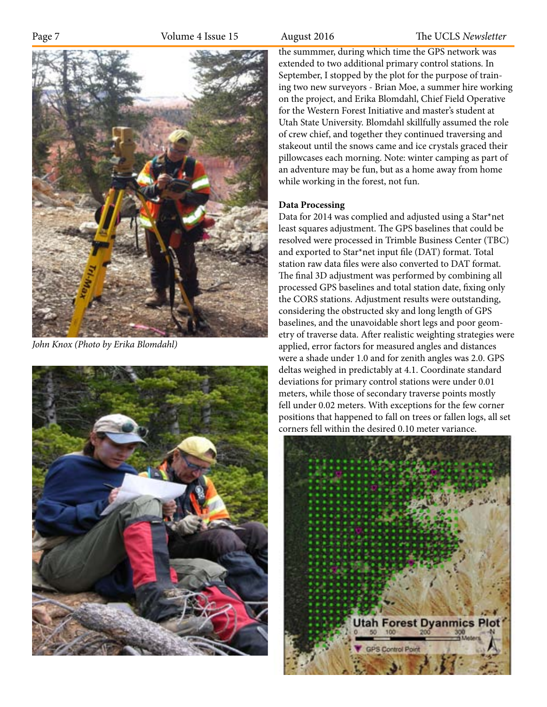

*John Knox (Photo by Erika Blomdahl)*



Page 7 **Volume 4 Issue 15** August 2016 The UCLS *Newsletter* 

the summmer, during which time the GPS network was extended to two additional primary control stations. In September, I stopped by the plot for the purpose of training two new surveyors - Brian Moe, a summer hire working on the project, and Erika Blomdahl, Chief Field Operative for the Western Forest Initiative and master's student at Utah State University. Blomdahl skillfully assumed the role of crew chief, and together they continued traversing and stakeout until the snows came and ice crystals graced their pillowcases each morning. Note: winter camping as part of an adventure may be fun, but as a home away from home while working in the forest, not fun.

## **Data Processing**

Data for 2014 was complied and adjusted using a Star\*net least squares adjustment. The GPS baselines that could be resolved were processed in Trimble Business Center (TBC) and exported to Star\*net input file (DAT) format. Total station raw data files were also converted to DAT format. The final 3D adjustment was performed by combining all processed GPS baselines and total station date, fixing only the CORS stations. Adjustment results were outstanding, considering the obstructed sky and long length of GPS baselines, and the unavoidable short legs and poor geometry of traverse data. After realistic weighting strategies were applied, error factors for measured angles and distances were a shade under 1.0 and for zenith angles was 2.0. GPS deltas weighed in predictably at 4.1. Coordinate standard deviations for primary control stations were under 0.01 meters, while those of secondary traverse points mostly fell under 0.02 meters. With exceptions for the few corner positions that happened to fall on trees or fallen logs, all set corners fell within the desired 0.10 meter variance.

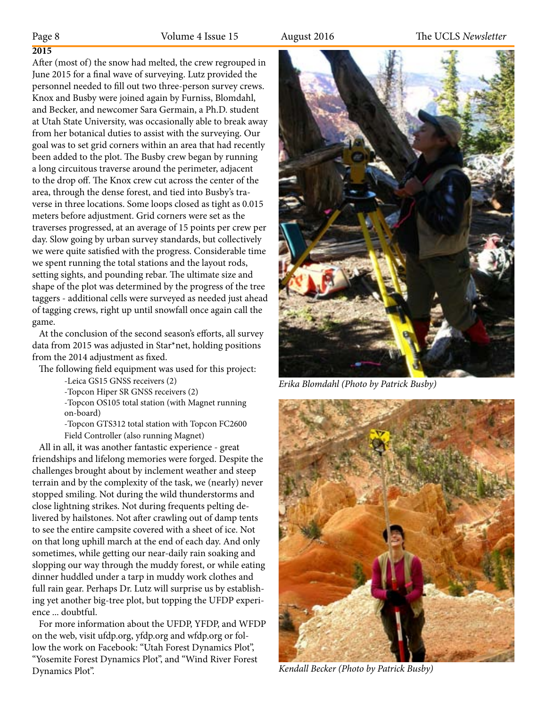# **2015**

After (most of) the snow had melted, the crew regrouped in June 2015 for a final wave of surveying. Lutz provided the personnel needed to fill out two three-person survey crews. Knox and Busby were joined again by Furniss, Blomdahl, and Becker, and newcomer Sara Germain, a Ph.D. student at Utah State University, was occasionally able to break away from her botanical duties to assist with the surveying. Our goal was to set grid corners within an area that had recently been added to the plot. The Busby crew began by running a long circuitous traverse around the perimeter, adjacent to the drop off. The Knox crew cut across the center of the area, through the dense forest, and tied into Busby's traverse in three locations. Some loops closed as tight as 0.015 meters before adjustment. Grid corners were set as the traverses progressed, at an average of 15 points per crew per day. Slow going by urban survey standards, but collectively we were quite satisfied with the progress. Considerable time we spent running the total stations and the layout rods, setting sights, and pounding rebar. The ultimate size and shape of the plot was determined by the progress of the tree taggers - additional cells were surveyed as needed just ahead of tagging crews, right up until snowfall once again call the game.

 At the conclusion of the second season's efforts, all survey data from 2015 was adjusted in Star\*net, holding positions from the 2014 adjustment as fixed.

The following field equipment was used for this project:

-Leica GS15 GNSS receivers (2)

-Topcon Hiper SR GNSS receivers (2)

-Topcon OS105 total station (with Magnet running on-board)

-Topcon GTS312 total station with Topcon FC2600 Field Controller (also running Magnet)

 All in all, it was another fantastic experience - great friendships and lifelong memories were forged. Despite the challenges brought about by inclement weather and steep terrain and by the complexity of the task, we (nearly) never stopped smiling. Not during the wild thunderstorms and close lightning strikes. Not during frequents pelting delivered by hailstones. Not after crawling out of damp tents to see the entire campsite covered with a sheet of ice. Not on that long uphill march at the end of each day. And only sometimes, while getting our near-daily rain soaking and slopping our way through the muddy forest, or while eating dinner huddled under a tarp in muddy work clothes and full rain gear. Perhaps Dr. Lutz will surprise us by establishing yet another big-tree plot, but topping the UFDP experience ... doubtful.

 For more information about the UFDP, YFDP, and WFDP on the web, visit ufdp.org, yfdp.org and wfdp.org or follow the work on Facebook: "Utah Forest Dynamics Plot", "Yosemite Forest Dynamics Plot", and "Wind River Forest Dynamics Plot". *Kendall Becker (Photo by Patrick Busby)*



*Erika Blomdahl (Photo by Patrick Busby)*

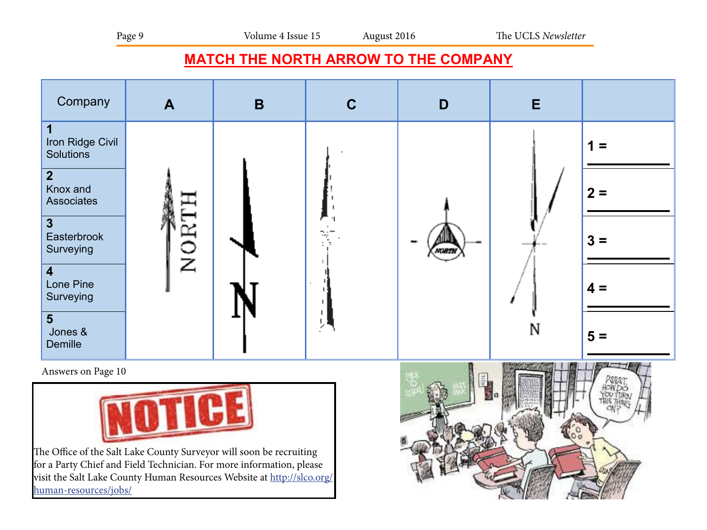# **MATCH THE NORTH ARROW TO THE COMPANY**



Answers on Page 10



The Office of the Salt Lake County Surveyor will soon be recruiting for a Party Chief and Field Technician. For more information, please visit the Salt Lake County Human Resources Website at http://slco.org/ human-resources/jobs/